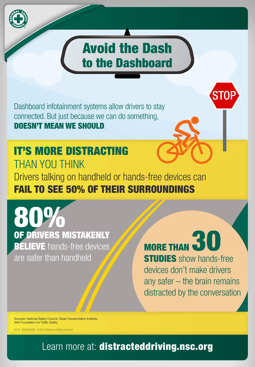

# Avoid the Dash to the Dashboard

Dashboard infotainment systems allow drivers to stay connected. But just because we can do something, DOESN'T MEAN WE SHOULD.

### Drivers talking on handheld or hands-free devices can FAIL TO SEE 50% OF THEIR SURROUNDINGS IT'S MORE DISTRACTING THAN YOU THINK

80 OF DRIVERS MISTAKENLY **BELIEVE** hands-free devices are safer than handheld

**MORE THAN STUDIES** show hands-free devices don't make drivers any safer – the brain remains distracted by the conversation

**STOP** 

Sources: National Safety Council, Texas Transportation Institute, AAA Foundation for Traffic Safety

0215 900006388 ©2015 National Safety Council

Learn more at: distracteddriving.nsc.org